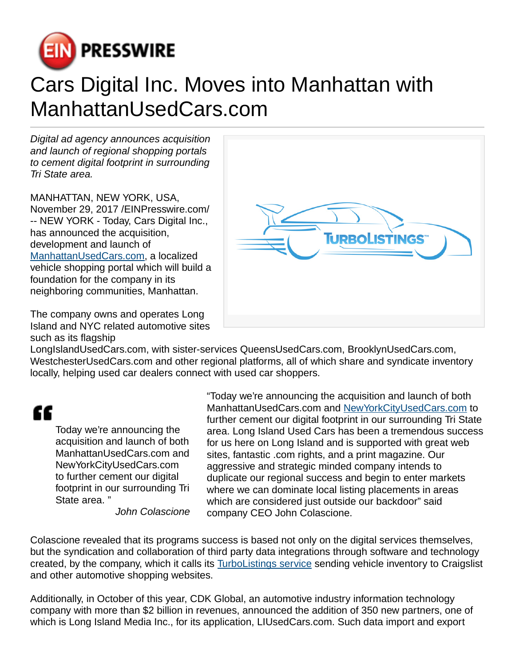

## Cars Digital Inc. Moves into Manhattan with ManhattanUsedCars.com

Digital ad agency announces acquisition and launch of regional shopping portals to cement digital footprint in surrounding Tri State area.

MANHATTAN, NEW YORK, USA, November 29, 2017 /[EINPresswire.com/](http://www.einpresswire.com) -- NEW YORK - Today, Cars Digital Inc., has announced the acquisition. development and launch of [ManhattanUsedCars.com,](https://www.manhattanusedcars.com/) a localized vehicle shopping portal which will build a foundation for the company in its neighboring communities, Manhattan.

The company owns and operates Long Island and NYC related automotive sites such as its flagship



LongIslandUsedCars.com, with sister-services QueensUsedCars.com, BrooklynUsedCars.com, WestchesterUsedCars.com and other regional platforms, all of which share and syndicate inventory locally, helping used car dealers connect with used car shoppers.

## "

Today we're announcing the acquisition and launch of both ManhattanUsedCars.com and NewYorkCityUsedCars.com to further cement our digital footprint in our surrounding Tri State area. "

John Colascione

"Today we're announcing the acquisition and launch of both ManhattanUsedCars.com and [NewYorkCityUsedCars.com](https://www.newyorkcityusedcars.com/) to further cement our digital footprint in our surrounding Tri State area. Long Island Used Cars has been a tremendous success for us here on Long Island and is supported with great web sites, fantastic .com rights, and a print magazine. Our aggressive and strategic minded company intends to duplicate our regional success and begin to enter markets where we can dominate local listing placements in areas which are considered just outside our backdoor" said company CEO John Colascione.

Colascione revealed that its programs success is based not only on the digital services themselves, but the syndication and collaboration of third party data integrations through software and technology created, by the company, which it calls its [TurboListings service](https://www.turbolistings.com/) sending vehicle inventory to Craigslist and other automotive shopping websites.

Additionally, in October of this year, CDK Global, an automotive industry information technology company with more than \$2 billion in revenues, announced the addition of 350 new partners, one of which is Long Island Media Inc., for its application, LIUsedCars.com. Such data import and export